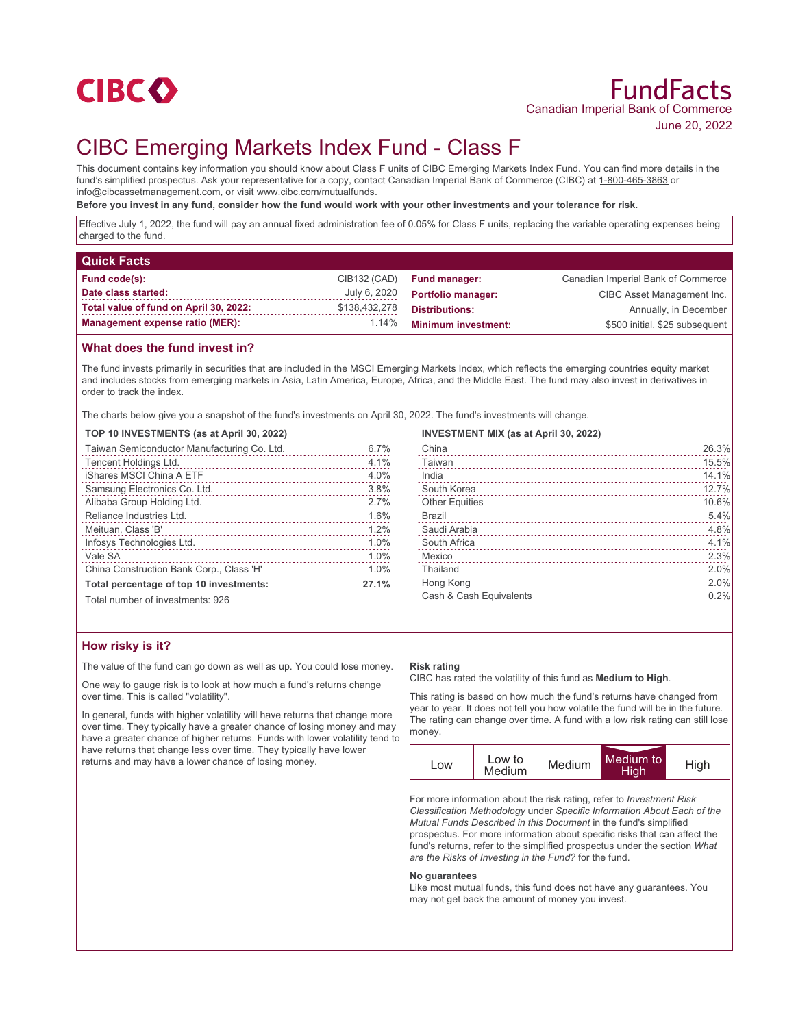

# CIBC Emerging Markets Index Fund - Class F

This document contains key information you should know about Class F units of CIBC Emerging Markets Index Fund. You can find more details in the fund's simplified prospectus. Ask your representative for a copy, contact Canadian Imperial Bank of Commerce (CIBC) at 1-800-465-3863 or info@cibcassetmanagement.com, or visit www.cibc.com/mutualfunds.

**Before you invest in any fund, consider how the fund would work with your other investments and your tolerance for risk.**

Effective July 1, 2022, the fund will pay an annual fixed administration fee of 0.05% for Class F units, replacing the variable operating expenses being charged to the fund.

| <b>Quick Facts</b>                     |               |                            |                                    |
|----------------------------------------|---------------|----------------------------|------------------------------------|
| Fund code(s):                          | CIB132 (CAD)  | <b>Fund manager:</b>       | Canadian Imperial Bank of Commerce |
| Date class started:                    | July 6, 2020  | <b>Portfolio manager:</b>  | CIBC Asset Management Inc.         |
| Total value of fund on April 30, 2022: | \$138,432,278 | <b>Distributions:</b>      | Annually, in December              |
| <b>Management expense ratio (MER):</b> | $1.14\%$      | <b>Minimum investment:</b> | \$500 initial, \$25 subsequent     |

# **What does the fund invest in?**

The fund invests primarily in securities that are included in the MSCI Emerging Markets Index, which reflects the emerging countries equity market and includes stocks from emerging markets in Asia, Latin America, Europe, Africa, and the Middle East. The fund may also invest in derivatives in order to track the index.

The charts below give you a snapshot of the fund's investments on April 30, 2022. The fund's investments will change.

## **TOP 10 INVESTMENTS (as at April 30, 2022)**

| Taiwan Semiconductor Manufacturing Co. Ltd.<br>and a second service | 6.7%  |
|---------------------------------------------------------------------|-------|
| Tencent Holdings Ltd.                                               | 4.1%  |
| iShares MSCI China A ETF                                            | 4.0%  |
| Samsung Electronics Co. Ltd.                                        | 3.8%  |
| Alibaba Group Holding Ltd.                                          | 2.7%  |
| Reliance Industries Ltd.                                            | 1.6%  |
| Meituan, Class 'B'                                                  | 1.2%  |
| Infosys Technologies Ltd.                                           | 1.0%  |
| Vale SA                                                             | 1.0%  |
| China Construction Bank Corp., Class 'H'                            | 1.0%  |
| Total percentage of top 10 investments:                             | 27.1% |

#### Total number of investments: 926

# **How risky is it?**

The value of the fund can go down as well as up. You could lose money.

One way to gauge risk is to look at how much a fund's returns change over time. This is called "volatility".

In general, funds with higher volatility will have returns that change more over time. They typically have a greater chance of losing money and may have a greater chance of higher returns. Funds with lower volatility tend to have returns that change less over time. They typically have lower returns and may have a lower chance of losing money.

# **INVESTMENT MIX (as at April 30, 2022)**

| China                   | 26.3% |
|-------------------------|-------|
| Taiwan                  | 15.5% |
| India                   | 14.1% |
| South Korea             | 12.7% |
| <b>Other Equities</b>   | 10.6% |
| <b>Brazil</b>           | 5.4%  |
| Saudi Arabia            | 4.8%  |
| South Africa            | 4.1%  |
| Mexico                  | 2.3%  |
| Thailand                | 2.0%  |
| Hong Kong               | 2.0%  |
| Cash & Cash Equivalents | 0.2%  |
|                         |       |

#### **Risk rating**

CIBC has rated the volatility of this fund as **Medium to High**.

This rating is based on how much the fund's returns have changed from year to year. It does not tell you how volatile the fund will be in the future. The rating can change over time. A fund with a low risk rating can still lose money.



For more information about the risk rating, refer to *Investment Risk Classification Methodology* under *Specific Information About Each of the Mutual Funds Described in this Document* in the fund's simplified prospectus. For more information about specific risks that can affect the fund's returns, refer to the simplified prospectus under the section *What are the Risks of Investing in the Fund?* for the fund.

#### **No guarantees**

Like most mutual funds, this fund does not have any guarantees. You may not get back the amount of money you invest.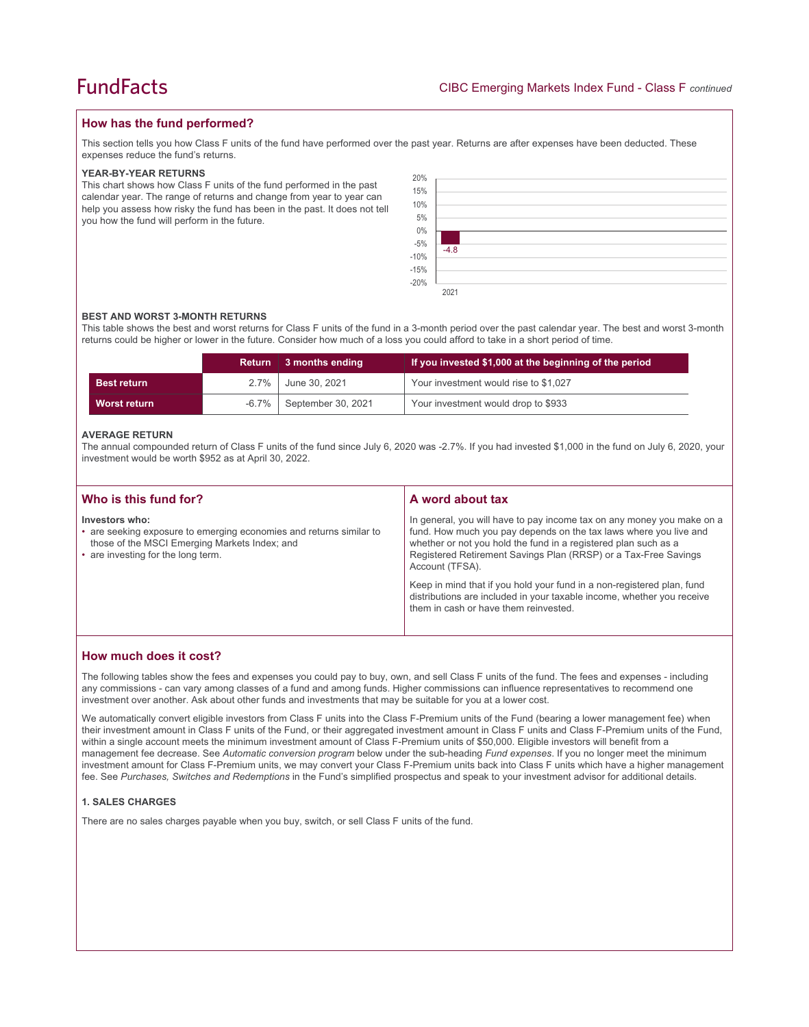# **How has the fund performed?**

This section tells you how Class F units of the fund have performed over the past year. Returns are after expenses have been deducted. These expenses reduce the fund's returns.

### **YEAR-BY-YEAR RETURNS**

This chart shows how Class F units of the fund performed in the past calendar year. The range of returns and change from year to year can help you assess how risky the fund has been in the past. It does not tell you how the fund will perform in the future.

| 20%                                     |        |
|-----------------------------------------|--------|
| 15%                                     |        |
| 10%                                     |        |
| 5%                                      |        |
| $0\%$                                   |        |
|                                         |        |
|                                         |        |
|                                         | $-4.8$ |
|                                         |        |
|                                         |        |
| $-5\%$<br>$-10\%$<br>$-15\%$<br>$-20\%$ |        |

#### **BEST AND WORST 3-MONTH RETURNS**

This table shows the best and worst returns for Class F units of the fund in a 3-month period over the past calendar year. The best and worst 3-month returns could be higher or lower in the future. Consider how much of a loss you could afford to take in a short period of time.

|                    | <b>Return</b> | 3 months ending    | If you invested \$1,000 at the beginning of the period |
|--------------------|---------------|--------------------|--------------------------------------------------------|
| <b>Best return</b> | $2.7\%$       | June 30, 2021      | Your investment would rise to \$1,027                  |
| Worst return       | -6.7%         | September 30, 2021 | Your investment would drop to \$933                    |

#### **AVERAGE RETURN**

The annual compounded return of Class F units of the fund since July 6, 2020 was -2.7%. If you had invested \$1,000 in the fund on July 6, 2020, your investment would be worth \$952 as at April 30, 2022.

| Who is this fund for?                                                                                                                                                        | A word about tax                                                                                                                                                                                                                                                                                     |
|------------------------------------------------------------------------------------------------------------------------------------------------------------------------------|------------------------------------------------------------------------------------------------------------------------------------------------------------------------------------------------------------------------------------------------------------------------------------------------------|
| Investors who:<br>• are seeking exposure to emerging economies and returns similar to<br>those of the MSCI Emerging Markets Index; and<br>• are investing for the long term. | In general, you will have to pay income tax on any money you make on a<br>fund. How much you pay depends on the tax laws where you live and<br>whether or not you hold the fund in a registered plan such as a<br>Registered Retirement Savings Plan (RRSP) or a Tax-Free Savings<br>Account (TFSA). |
|                                                                                                                                                                              | Keep in mind that if you hold your fund in a non-registered plan, fund<br>distributions are included in your taxable income, whether you receive<br>them in cash or have them reinvested.                                                                                                            |

# **How much does it cost?**

The following tables show the fees and expenses you could pay to buy, own, and sell Class F units of the fund. The fees and expenses - including any commissions - can vary among classes of a fund and among funds. Higher commissions can influence representatives to recommend one investment over another. Ask about other funds and investments that may be suitable for you at a lower cost.

We automatically convert eligible investors from Class F units into the Class F-Premium units of the Fund (bearing a lower management fee) when their investment amount in Class F units of the Fund, or their aggregated investment amount in Class F units and Class F-Premium units of the Fund, within a single account meets the minimum investment amount of Class F-Premium units of \$50,000. Eligible investors will benefit from a management fee decrease. See *Automatic conversion program* below under the sub-heading *Fund expenses*. If you no longer meet the minimum investment amount for Class F-Premium units, we may convert your Class F-Premium units back into Class F units which have a higher management fee. See *Purchases, Switches and Redemptions* in the Fund's simplified prospectus and speak to your investment advisor for additional details.

## **1. SALES CHARGES**

There are no sales charges payable when you buy, switch, or sell Class F units of the fund.